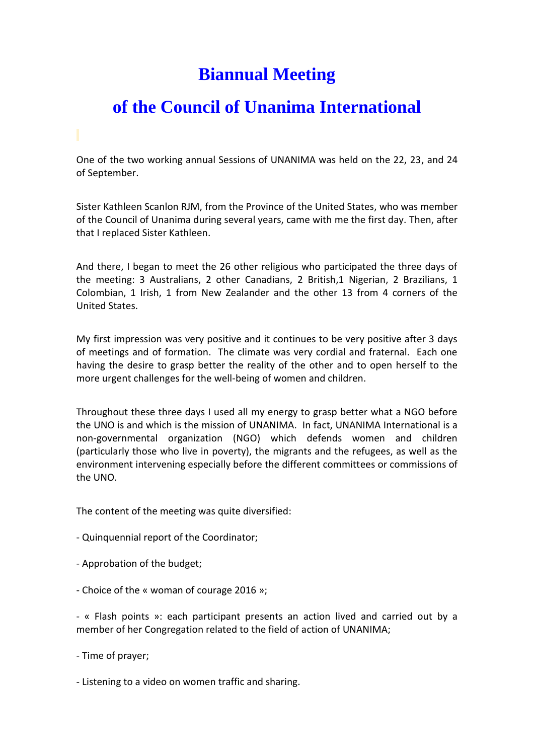## **Biannual Meeting**

## **of the Council of Unanima International**

One of the two working annual Sessions of UNANIMA was held on the 22, 23, and 24 of September.

Sister Kathleen Scanlon RJM, from the Province of the United States, who was member of the Council of Unanima during several years, came with me the first day. Then, after that I replaced Sister Kathleen.

And there, I began to meet the 26 other religious who participated the three days of the meeting: 3 Australians, 2 other Canadians, 2 British,1 Nigerian, 2 Brazilians, 1 Colombian, 1 Irish, 1 from New Zealander and the other 13 from 4 corners of the United States.

My first impression was very positive and it continues to be very positive after 3 days of meetings and of formation. The climate was very cordial and fraternal. Each one having the desire to grasp better the reality of the other and to open herself to the more urgent challenges for the well-being of women and children.

Throughout these three days I used all my energy to grasp better what a NGO before the UNO is and which is the mission of UNANIMA. In fact, UNANIMA International is a non-governmental organization (NGO) which defends women and children (particularly those who live in poverty), the migrants and the refugees, as well as the environment intervening especially before the different committees or commissions of the UNO.

The content of the meeting was quite diversified:

- Quinquennial report of the Coordinator;
- Approbation of the budget;
- Choice of the « woman of courage 2016 »;

- « Flash points »: each participant presents an action lived and carried out by a member of her Congregation related to the field of action of UNANIMA;

- Time of prayer;

- Listening to a video on women traffic and sharing.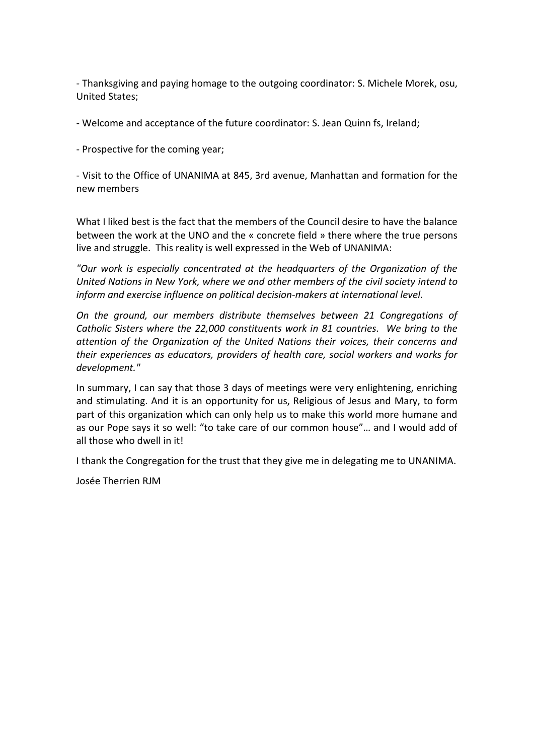- Thanksgiving and paying homage to the outgoing coordinator: S. Michele Morek, osu, United States;

- Welcome and acceptance of the future coordinator: S. Jean Quinn fs, Ireland;

- Prospective for the coming year;

- Visit to the Office of UNANIMA at 845, 3rd avenue, Manhattan and formation for the new members

What I liked best is the fact that the members of the Council desire to have the balance between the work at the UNO and the « concrete field » there where the true persons live and struggle. This reality is well expressed in the Web of UNANIMA:

*"Our work is especially concentrated at the headquarters of the Organization of the United Nations in New York, where we and other members of the civil society intend to inform and exercise influence on political decision-makers at international level.* 

*On the ground, our members distribute themselves between 21 Congregations of Catholic Sisters where the 22,000 constituents work in 81 countries. We bring to the attention of the Organization of the United Nations their voices, their concerns and their experiences as educators, providers of health care, social workers and works for development."*

In summary, I can say that those 3 days of meetings were very enlightening, enriching and stimulating. And it is an opportunity for us, Religious of Jesus and Mary, to form part of this organization which can only help us to make this world more humane and as our Pope says it so well: "to take care of our common house"… and I would add of all those who dwell in it!

I thank the Congregation for the trust that they give me in delegating me to UNANIMA.

Josée Therrien RJM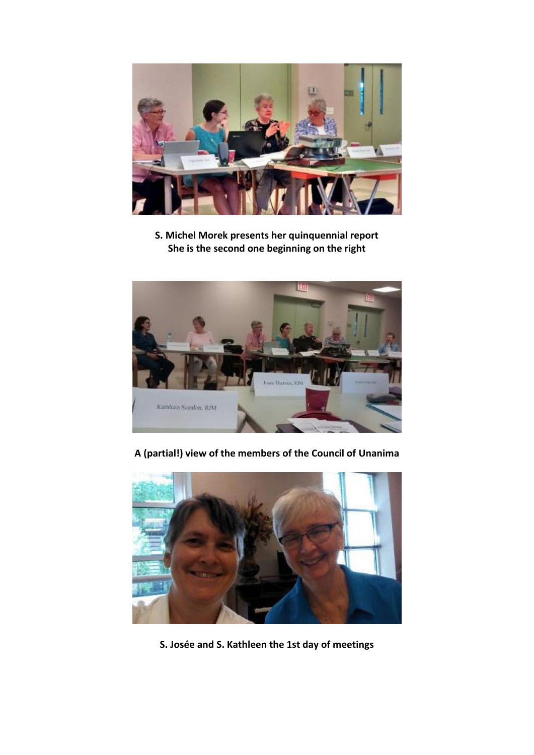

**S. Michel Morek presents her quinquennial report She is the second one beginning on the right** 



**A (partial!) view of the members of the Council of Unanima** 



**S. Josée and S. Kathleen the 1st day of meetings**